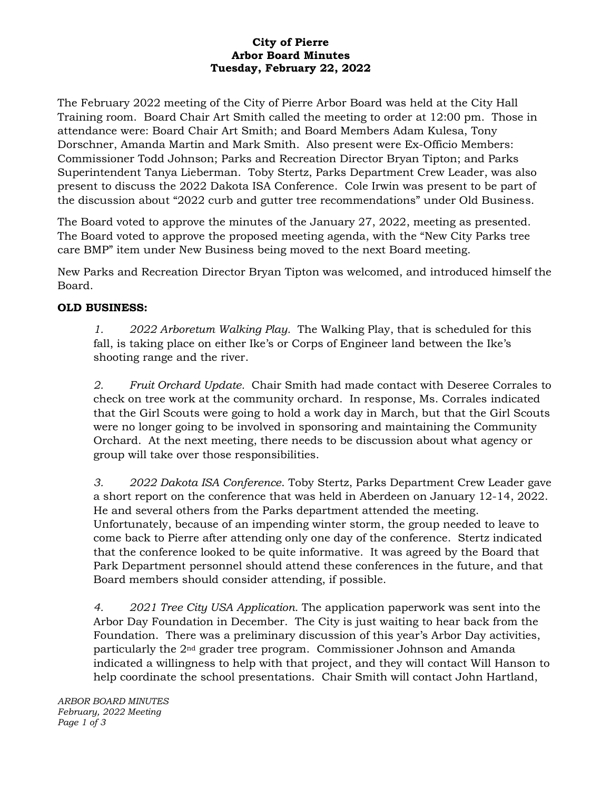## **City of Pierre Arbor Board Minutes Tuesday, February 22, 2022**

The February 2022 meeting of the City of Pierre Arbor Board was held at the City Hall Training room. Board Chair Art Smith called the meeting to order at 12:00 pm. Those in attendance were: Board Chair Art Smith; and Board Members Adam Kulesa, Tony Dorschner, Amanda Martin and Mark Smith. Also present were Ex-Officio Members: Commissioner Todd Johnson; Parks and Recreation Director Bryan Tipton; and Parks Superintendent Tanya Lieberman. Toby Stertz, Parks Department Crew Leader, was also present to discuss the 2022 Dakota ISA Conference. Cole Irwin was present to be part of the discussion about "2022 curb and gutter tree recommendations" under Old Business.

The Board voted to approve the minutes of the January 27, 2022, meeting as presented. The Board voted to approve the proposed meeting agenda, with the "New City Parks tree care BMP" item under New Business being moved to the next Board meeting.

New Parks and Recreation Director Bryan Tipton was welcomed, and introduced himself the Board.

## **OLD BUSINESS:**

*1. 2022 Arboretum Walking Play.* The Walking Play, that is scheduled for this fall, is taking place on either Ike's or Corps of Engineer land between the Ike's shooting range and the river.

*2. Fruit Orchard Update.* Chair Smith had made contact with Deseree Corrales to check on tree work at the community orchard. In response, Ms. Corrales indicated that the Girl Scouts were going to hold a work day in March, but that the Girl Scouts were no longer going to be involved in sponsoring and maintaining the Community Orchard. At the next meeting, there needs to be discussion about what agency or group will take over those responsibilities.

*3. 2022 Dakota ISA Conference*. Toby Stertz, Parks Department Crew Leader gave a short report on the conference that was held in Aberdeen on January 12-14, 2022. He and several others from the Parks department attended the meeting. Unfortunately, because of an impending winter storm, the group needed to leave to come back to Pierre after attending only one day of the conference. Stertz indicated that the conference looked to be quite informative. It was agreed by the Board that Park Department personnel should attend these conferences in the future, and that Board members should consider attending, if possible.

*4. 2021 Tree City USA Application.* The application paperwork was sent into the Arbor Day Foundation in December. The City is just waiting to hear back from the Foundation. There was a preliminary discussion of this year's Arbor Day activities, particularly the 2nd grader tree program. Commissioner Johnson and Amanda indicated a willingness to help with that project, and they will contact Will Hanson to help coordinate the school presentations. Chair Smith will contact John Hartland,

*ARBOR BOARD MINUTES February, 2022 Meeting Page 1 of 3*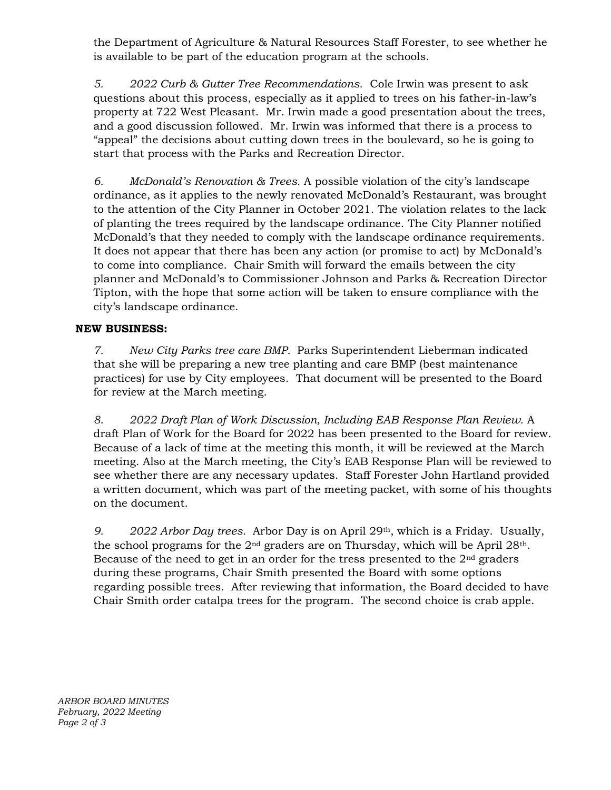the Department of Agriculture & Natural Resources Staff Forester, to see whether he is available to be part of the education program at the schools.

*5. 2022 Curb & Gutter Tree Recommendations.* Cole Irwin was present to ask questions about this process, especially as it applied to trees on his father-in-law's property at 722 West Pleasant. Mr. Irwin made a good presentation about the trees, and a good discussion followed. Mr. Irwin was informed that there is a process to "appeal" the decisions about cutting down trees in the boulevard, so he is going to start that process with the Parks and Recreation Director.

*6. McDonald's Renovation & Trees.* A possible violation of the city's landscape ordinance, as it applies to the newly renovated McDonald's Restaurant, was brought to the attention of the City Planner in October 2021. The violation relates to the lack of planting the trees required by the landscape ordinance. The City Planner notified McDonald's that they needed to comply with the landscape ordinance requirements. It does not appear that there has been any action (or promise to act) by McDonald's to come into compliance. Chair Smith will forward the emails between the city planner and McDonald's to Commissioner Johnson and Parks & Recreation Director Tipton, with the hope that some action will be taken to ensure compliance with the city's landscape ordinance.

## **NEW BUSINESS:**

*7. New City Parks tree care BMP.* Parks Superintendent Lieberman indicated that she will be preparing a new tree planting and care BMP (best maintenance practices) for use by City employees. That document will be presented to the Board for review at the March meeting.

*8. 2022 Draft Plan of Work Discussion, Including EAB Response Plan Review.* A draft Plan of Work for the Board for 2022 has been presented to the Board for review. Because of a lack of time at the meeting this month, it will be reviewed at the March meeting. Also at the March meeting, the City's EAB Response Plan will be reviewed to see whether there are any necessary updates. Staff Forester John Hartland provided a written document, which was part of the meeting packet, with some of his thoughts on the document.

*9. 2022 Arbor Day trees.* Arbor Day is on April 29th, which is a Friday. Usually, the school programs for the  $2<sup>nd</sup>$  graders are on Thursday, which will be April  $28<sup>th</sup>$ . Because of the need to get in an order for the tress presented to the  $2<sup>nd</sup>$  graders during these programs, Chair Smith presented the Board with some options regarding possible trees. After reviewing that information, the Board decided to have Chair Smith order catalpa trees for the program. The second choice is crab apple.

*ARBOR BOARD MINUTES February, 2022 Meeting Page 2 of 3*